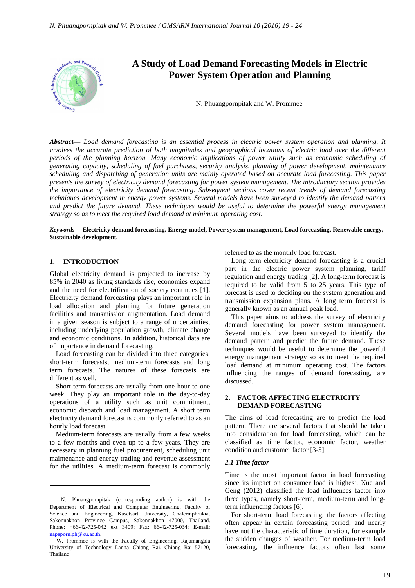

*Abstract***—** *Load demand forecasting is an essential process in electric power system operation and planning. It*  involves the accurate prediction of both magnitudes and geographical locations of electric load over the different *periods of the planning horizon. Many economic implications of power utility such as economic scheduling of generating capacity, scheduling of fuel purchases, security analysis, planning of power development, maintenance scheduling and dispatching of generation units are mainly operated based on accurate load forecasting. This paper presents the survey of electricity demand forecasting for power system management. The introductory section provides the importance of electricity demand forecasting. Subsequent sections cover recent trends of demand forecasting techniques development in energy power systems. Several models have been surveyed to identify the demand pattern and predict the future demand. These techniques would be useful to determine the powerful energy management strategy so as to meet the required load demand at minimum operating cost.*

#### *Keywords***— Electricity demand forecasting, Energy model, Power system management, Load forecasting, Renewable energy, Sustainable development.**

# **1. INTRODUCTION**

 $\overline{a}$ 

Global electricity demand is projected to increase by 85% in 2040 as living standards rise, economies expand and the need for electrification of society continues [1]. Electricity demand forecasting plays an important role in load allocation and planning for future generation facilities and transmission augmentation. Load demand in a given season is subject to a range of uncertainties, including underlying population growth, climate change and economic conditions. In addition, historical data are of importance in demand forecasting.

Load forecasting can be divided into three categories: short-term forecasts, medium-term forecasts and long term forecasts. The natures of these forecasts are different as well.

Short-term forecasts are usually from one hour to one week. They play an important role in the day-to-day operations of a utility such as unit commitment, economic dispatch and load management. A short term electricity demand forecast is commonly referred to as an hourly load forecast.

Medium-term forecasts are usually from a few weeks to a few months and even up to a few years. They are necessary in planning fuel procurement, scheduling unit maintenance and energy trading and revenue assessment for the utilities. A medium-term forecast is commonly

referred to as the monthly load forecast.

Long-term electricity demand forecasting is a crucial part in the electric power system planning, tariff regulation and energy trading [2]. A long-term forecast is required to be valid from 5 to 25 years. This type of forecast is used to deciding on the system generation and transmission expansion plans. A long term forecast is generally known as an annual peak load.

This paper aims to address the survey of electricity demand forecasting for power system management. Several models have been surveyed to identify the demand pattern and predict the future demand. These techniques would be useful to determine the powerful energy management strategy so as to meet the required load demand at minimum operating cost. The factors influencing the ranges of demand forecasting, are discussed.

## **2. FACTOR AFFECTING ELECTRICITY DEMAND FORECASTING**

The aims of load forecasting are to predict the load pattern. There are several factors that should be taken into consideration for load forecasting, which can be classified as time factor, economic factor, weather condition and customer factor [3-5].

#### *2.1 Time factor*

Time is the most important factor in load forecasting since its impact on consumer load is highest. Xue and Geng (2012) classified the load influences factor into three types, namely short-term, medium-term and longterm influencing factors [6].

For short-term load forecasting, the factors affecting often appear in certain forecasting period, and nearly have not the characteristic of time duration, for example the sudden changes of weather. For medium-term load forecasting, the influence factors often last some

N. Phuangpornpitak (corresponding author) is with the Department of Electrical and Computer Engineering, Faculty of Science and Engineering, Kasetsart University, Chalermphrakiat Sakonnakhon Province Campus, Sakonnakhon 47000, Thailand. Phone: +66-42-725-042 ext 3409; Fax: 66-42-725-034; E-mail: napaporn.ph@ku.ac.th.

W. Prommee is with the Faculty of Engineering, Rajamangala University of Technology Lanna Chiang Rai, Chiang Rai 57120, Thailand.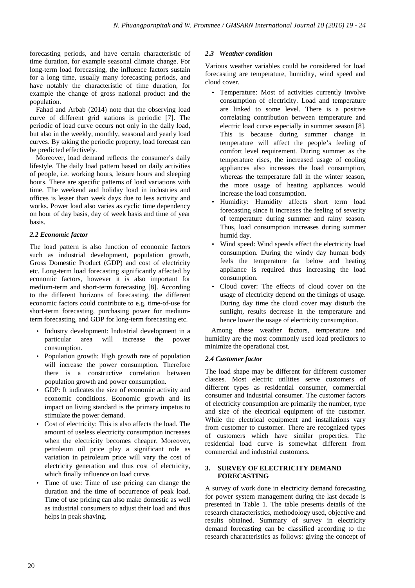forecasting periods, and have certain characteristic of time duration, for example seasonal climate change. For long-term load forecasting, the influence factors sustain for a long time, usually many forecasting periods, and have notably the characteristic of time duration, for example the change of gross national product and the population.

Fahad and Arbab (2014) note that the observing load curve of different grid stations is periodic [7]. The periodic of load curve occurs not only in the daily load, but also in the weekly, monthly, seasonal and yearly load curves. By taking the periodic property, load forecast can be predicted effectively.

Moreover, load demand reflects the consumer's daily lifestyle. The daily load pattern based on daily activities of people, i.e. working hours, leisure hours and sleeping hours. There are specific patterns of load variations with time. The weekend and holiday load in industries and offices is lesser than week days due to less activity and works. Power load also varies as cyclic time dependency on hour of day basis, day of week basis and time of year basis.

# *2.2 Economic factor*

The load pattern is also function of economic factors such as industrial development, population growth, Gross Domestic Product (GDP) and cost of electricity etc. Long-term load forecasting significantly affected by economic factors, however it is also important for medium-term and short-term forecasting [8]. According to the different horizons of forecasting, the different economic factors could contribute to e.g. time-of-use for short-term forecasting, purchasing power for mediumterm forecasting, and GDP for long-term forecasting etc.

- Industry development: Industrial development in a particular area will increase the power consumption.
- Population growth: High growth rate of population will increase the power consumption. Therefore there is a constructive correlation between population growth and power consumption.
- GDP: It indicates the size of economic activity and economic conditions. Economic growth and its impact on living standard is the primary impetus to stimulate the power demand.
- Cost of electricity: This is also affects the load. The amount of useless electricity consumption increases when the electricity becomes cheaper. Moreover, petroleum oil price play a significant role as variation in petroleum price will vary the cost of electricity generation and thus cost of electricity, which finally influence on load curve.
- Time of use: Time of use pricing can change the duration and the time of occurrence of peak load. Time of use pricing can also make domestic as well as industrial consumers to adjust their load and thus helps in peak shaving.

# *2.3 Weather condition*

Various weather variables could be considered for load forecasting are temperature, humidity, wind speed and cloud cover.

- Temperature: Most of activities currently involve consumption of electricity. Load and temperature are linked to some level. There is a positive correlating contribution between temperature and electric load curve especially in summer season [8]. This is because during summer change in temperature will affect the people's feeling of comfort level requirement. During summer as the temperature rises, the increased usage of cooling appliances also increases the load consumption, whereas the temperature fall in the winter season, the more usage of heating appliances would increase the load consumption.
- Humidity: Humidity affects short term load forecasting since it increases the feeling of severity of temperature during summer and rainy season. Thus, load consumption increases during summer humid day.
- Wind speed: Wind speeds effect the electricity load consumption. During the windy day human body feels the temperature far below and heating appliance is required thus increasing the load consumption.
- Cloud cover: The effects of cloud cover on the usage of electricity depend on the timings of usage. During day time the cloud cover may disturb the sunlight, results decrease in the temperature and hence lower the usage of electricity consumption.

Among these weather factors, temperature and humidity are the most commonly used load predictors to minimize the operational cost.

# *2.4 Customer factor*

The load shape may be different for different customer classes. Most electric utilities serve customers of different types as residential consumer, commercial consumer and industrial consumer. The customer factors of electricity consumption are primarily the number, type and size of the electrical equipment of the customer. While the electrical equipment and installations vary from customer to customer. There are recognized types of customers which have similar properties. The residential load curve is somewhat different from commercial and industrial customers.

## **3. SURVEY OF ELECTRICITY DEMAND FORECASTING**

A survey of work done in electricity demand forecasting for power system management during the last decade is presented in Table 1. The table presents details of the research characteristics, methodology used, objective and results obtained. Summary of survey in electricity demand forecasting can be classified according to the research characteristics as follows: giving the concept of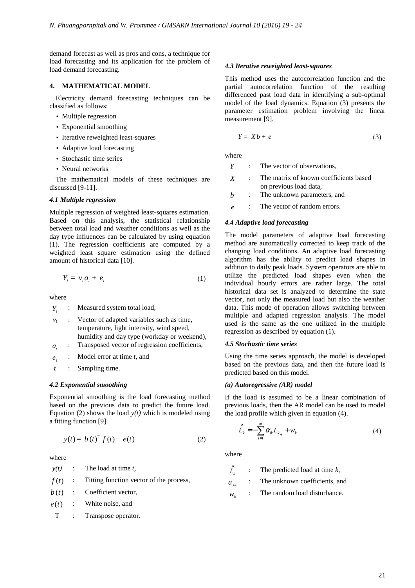demand forecast as well as pros and cons, a technique for load forecasting and its application for the problem of load demand forecasting.

## **4. MATHEMATICAL MODEL**

Electricity demand forecasting techniques can be classified as follows:

- Multiple regression
- Exponential smoothing
- Iterative reweighted least-squares
- Adaptive load forecasting
- Stochastic time series
- Neural networks

The mathematical models of these techniques are discussed [9-11].

## *4.1 Multiple regression*

Multiple regression of weighted least-squares estimation. Based on this analysis, the statistical relationship between total load and weather conditions as well as the day type influences can be calculated by using equation (1). The regression coefficients are computed by a weighted least square estimation using the defined amount of historical data [10].

$$
Y_t = v_t a_t + e_t \tag{1}
$$

where

*Yt* : Measured system total load,

- *vt* : Vector of adapted variables such as time, temperature, light intensity, wind speed, humidity and day type (workday or weekend),
- $a_{i}$ *a* : Transposed vector of regression coefficients,
- *t e* : Model error at time *t*, and
- *t* : Sampling time.

## *4.2 Exponential smoothing*

Exponential smoothing is the load forecasting method based on the previous data to predict the future load. Equation (2) shows the load  $y(t)$  which is modeled using a fitting function [9].

$$
y(t) = b(t)^{\mathrm{T}} f(t) + e(t) \tag{2}
$$

where

*y(t)* : The load at time *t*,

 $f(t)$  : Fitting function vector of the process,

 $b(t)$  : Coefficient vector,

 $e(t)$  : White noise, and

T : Transpose operator.

### *4.3 Iterative reweighted least-squares*

This method uses the autocorrelation function and the partial autocorrelation function of the resulting differenced past load data in identifying a sub-optimal model of the load dynamics. Equation (3) presents the parameter estimation problem involving the linear measurement [9].

$$
Y = Xb + e \tag{3}
$$

where

- *Y* : The vector of observations.
- *X* : The matrix of known coefficients based on previous load data,
- *b* : The unknown parameters, and
- *e* : The vector of random errors.

### *4.4 Adaptive load forecasting*

The model parameters of adaptive load forecasting method are automatically corrected to keep track of the changing load conditions. An adaptive load forecasting algorithm has the ability to predict load shapes in addition to daily peak loads. System operators are able to utilize the predicted load shapes even when the individual hourly errors are rather large. The total historical data set is analyzed to determine the state vector, not only the measured load but also the weather data. This mode of operation allows switching between multiple and adapted regression analysis. The model used is the same as the one utilized in the multiple regression as described by equation (1).

#### *4.5 Stochastic time series*

Using the time series approach, the model is developed based on the previous data, and then the future load is predicted based on this model.

#### *(a) Autoregressive (AR) model*

If the load is assumed to be a linear combination of previous loads, then the AR model can be used to model the load profile which given in equation (4).

$$
\hat{L}_k = -\sum_{i=1}^m \alpha_{ik} L_{k_{-i}} + w_k
$$
\n(4)

where

∧ *Lk* : The predicted load at time *k*,

 $a_{ik}$  : The unknown coefficients, and

 $W_k$ The random load disturbance.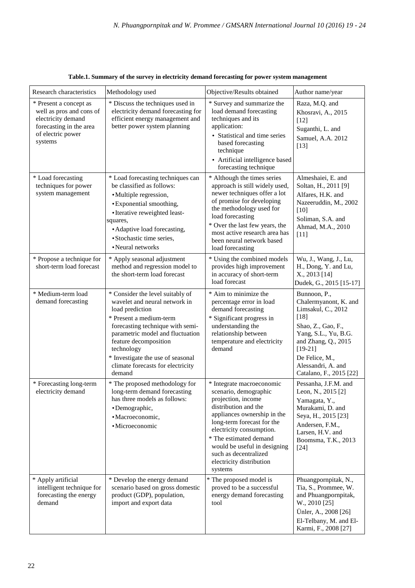| Research characteristics                                                                                                            | Methodology used                                                                                                                                                                                                                                                                                                   | Objective/Results obtained                                                                                                                                                                                                                                                                                          | Author name/year                                                                                                                                                                                                           |
|-------------------------------------------------------------------------------------------------------------------------------------|--------------------------------------------------------------------------------------------------------------------------------------------------------------------------------------------------------------------------------------------------------------------------------------------------------------------|---------------------------------------------------------------------------------------------------------------------------------------------------------------------------------------------------------------------------------------------------------------------------------------------------------------------|----------------------------------------------------------------------------------------------------------------------------------------------------------------------------------------------------------------------------|
| * Present a concept as<br>well as pros and cons of<br>electricity demand<br>forecasting in the area<br>of electric power<br>systems | * Discuss the techniques used in<br>electricity demand forecasting for<br>efficient energy management and<br>better power system planning                                                                                                                                                                          | * Survey and summarize the<br>load demand forecasting<br>techniques and its<br>application:<br>• Statistical and time series<br>based forecasting<br>technique<br>• Artificial intelligence based<br>forecasting technique                                                                                          | Raza, M.Q. and<br>Khosravi, A., 2015<br>$[12]$<br>Suganthi, L. and<br>Samuel, A.A. 2012<br>$[13]$                                                                                                                          |
| * Load forecasting<br>techniques for power<br>system management                                                                     | * Load forecasting techniques can<br>be classified as follows:<br>· Multiple regression,<br>· Exponential smoothing,<br>• Iterative reweighted least-<br>squares,<br>• Adaptive load forecasting,<br>• Stochastic time series,<br>• Neural networks                                                                | * Although the times series<br>approach is still widely used,<br>newer techniques offer a lot<br>of promise for developing<br>the methodology used for<br>load forecasting<br>* Over the last few years, the<br>most active research area has<br>been neural network based<br>load forecasting                      | Almeshaiei, E. and<br>Soltan, H., 2011 [9]<br>Alfares, H.K. and<br>Nazeeruddin, M., 2002<br>$[10]$<br>Soliman, S.A. and<br>Ahmad, M.A., 2010<br>$[11]$                                                                     |
| * Propose a technique for<br>short-term load forecast                                                                               | * Apply seasonal adjustment<br>method and regression model to<br>the short-term load forecast                                                                                                                                                                                                                      | * Using the combined models<br>provides high improvement<br>in accuracy of short-term<br>load forecast                                                                                                                                                                                                              | Wu, J., Wang, J., Lu,<br>H., Dong, Y. and Lu,<br>X., 2013 [14]<br>Dudek, G., 2015 [15-17]                                                                                                                                  |
| * Medium-term load<br>demand forecasting                                                                                            | * Consider the level suitably of<br>wavelet and neural network in<br>load prediction<br>* Present a medium-term<br>forecasting technique with semi-<br>parametric model and fluctuation<br>feature decomposition<br>technology<br>* Investigate the use of seasonal<br>climate forecasts for electricity<br>demand | * Aim to minimize the<br>percentage error in load<br>demand forecasting<br>* Significant progress in<br>understanding the<br>relationship between<br>temperature and electricity<br>demand                                                                                                                          | Bunnoon, P.,<br>Chalermyanont, K. and<br>Limsakul, C., 2012<br>$[18]$<br>Shao, Z., Gao, F.,<br>Yang, S.L., Yu, B.G.<br>and Zhang, Q., 2015<br>$[19-21]$<br>De Felice, M.,<br>Alessandri, A. and<br>Catalano, F., 2015 [22] |
| * Forecasting long-term<br>electricity demand                                                                                       | * The proposed methodology for<br>long-term demand forecasting<br>has three models as follows:<br>· Demographic,<br>· Macroeconomic,<br>· Microeconomic                                                                                                                                                            | * Integrate macroeconomic<br>scenario, demographic<br>projection, income<br>distribution and the<br>appliances ownership in the<br>long-term forecast for the<br>electricity consumption.<br>* The estimated demand<br>would be useful in designing<br>such as decentralized<br>electricity distribution<br>systems | Pessanha, J.F.M. and<br>Leon, N., 2015 [2]<br>Yamagata, Y.,<br>Murakami, D. and<br>Seya, H., 2015 [23]<br>Andersen, F.M.,<br>Larsen, H.V. and<br>Boomsma, T.K., 2013<br>$[24]$                                             |
| * Apply artificial<br>intelligent technique for<br>forecasting the energy<br>demand                                                 | * Develop the energy demand<br>scenario based on gross domestic<br>product (GDP), population,<br>import and export data                                                                                                                                                                                            | * The proposed model is<br>proved to be a successful<br>energy demand forecasting<br>tool                                                                                                                                                                                                                           | Phuangpornpitak, N.,<br>Tia, S., Prommee, W.<br>and Phuangpornpitak,<br>W., 2010 [25]<br>Ünler, A., 2008 [26]<br>El-Telbany, M. and El-<br>Karmi, F., 2008 [27]                                                            |

**Table.1. Summary of the survey in electricity demand forecasting for power system management**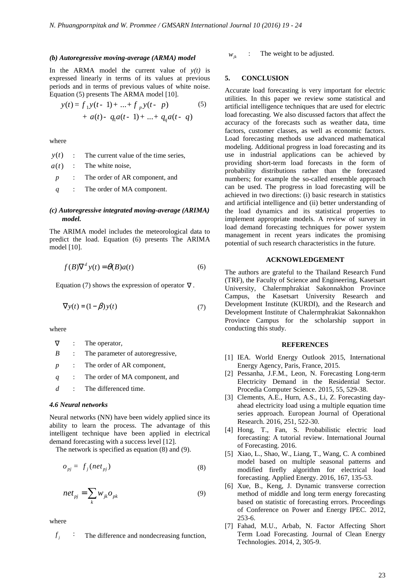#### *(b) Autoregressive moving-average (ARMA) model*

In the ARMA model the current value of  $y(t)$  is expressed linearly in terms of its values at previous periods and in terms of previous values of white noise. Equation (5) presents The ARMA model [10].

$$
y(t) = f_1 y(t-1) + ... + f_p y(t-p)
$$
  
+  $a(t) - q_1 a(t-1) + ... + q_q a(t-q)$  (5)

where

|  | $y(t)$ : The current value of the time series, |
|--|------------------------------------------------|
|  | $a(t)$ : The white noise,                      |
|  | $p$ : The order of AR component, and           |
|  | $q$ : The order of MA component.               |

## *(c) Autoregressive integrated moving-average (ARIMA) model.*

The ARIMA model includes the meteorological data to predict the load. Equation (6) presents The ARIMA model [10].

$$
f(B)\nabla^d y(t) = \theta(B)a(t)
$$
 (6)

Equation (7) shows the expression of operator  $\nabla$ .

$$
\nabla y(t) = (1 - \beta) y(t) \tag{7}
$$

where

|                  | : The operator,                    |
|------------------|------------------------------------|
| B                | : The parameter of autoregressive, |
| $\boldsymbol{p}$ | : The order of AR component,       |
| q                | : The order of MA component, and   |
| d                | The differenced time.              |

#### *4.6 Neural networks*

Neural networks (NN) have been widely applied since its ability to learn the process. The advantage of this intelligent technique have been applied in electrical demand forecasting with a success level [12].

The network is specified as equation (8) and (9).

$$
o_{pj} = f_j(net_{pj})
$$
 (8)

$$
net_{pj} = \sum_{k} w_{jk} o_{pk} \tag{9}
$$

where

$$
f_j
$$
 : The difference and nondecreasing function,

 $w_{ik}$  : The weight to be adjusted.

#### **5. CONCLUSION**

Accurate load forecasting is very important for electric utilities. In this paper we review some statistical and artificial intelligence techniques that are used for electric load forecasting. We also discussed factors that affect the accuracy of the forecasts such as weather data, time factors, customer classes, as well as economic factors. Load forecasting methods use advanced mathematical modeling. Additional progress in load forecasting and its use in industrial applications can be achieved by providing short-term load forecasts in the form of probability distributions rather than the forecasted numbers; for example the so-called ensemble approach can be used. The progress in load forecasting will be achieved in two directions: (i) basic research in statistics and artificial intelligence and (ii) better understanding of the load dynamics and its statistical properties to implement appropriate models. A review of survey in load demand forecasting techniques for power system management in recent years indicates the promising potential of such research characteristics in the future.

## **ACKNOWLEDGEMENT**

The authors are grateful to the Thailand Research Fund (TRF), the Faculty of Science and Engineering, Kasetsart University, Chalermphrakiat Sakonnakhon Province Campus, the Kasetsart University Research and Development Institute (KURDI), and the Research and Development Institute of Chalermphrakiat Sakonnakhon Province Campus for the scholarship support in conducting this study.

#### **REFERENCES**

- [1] IEA. World Energy Outlook 2015, International Energy Agency, Paris, France, 2015.
- [2] Pessanha, J.F.M., Leon, N. Forecasting Long-term Electricity Demand in the Residential Sector. Procedia Computer Science. 2015, 55, 529-38.
- [3] Clements, A.E., Hurn, A.S., Li, Z. Forecasting dayahead electricity load using a multiple equation time series approach. European Journal of Operational Research. 2016, 251, 522-30.
- [4] Hong, T., Fan, S. Probabilistic electric load forecasting: A tutorial review. International Journal of Forecasting. 2016.
- [5] Xiao, L., Shao, W., Liang, T., Wang, C. A combined model based on multiple seasonal patterns and modified firefly algorithm for electrical load forecasting. Applied Energy. 2016, 167, 135-53.
- [6] Xue, B., Keng, J. Dynamic transverse correction method of middle and long term energy forecasting based on statistic of forecasting errors. Proceedings of Conference on Power and Energy IPEC. 2012, 253-6.
- [7] Fahad, M.U., Arbab, N. Factor Affecting Short Term Load Forecasting. Journal of Clean Energy Technologies. 2014, 2, 305-9.